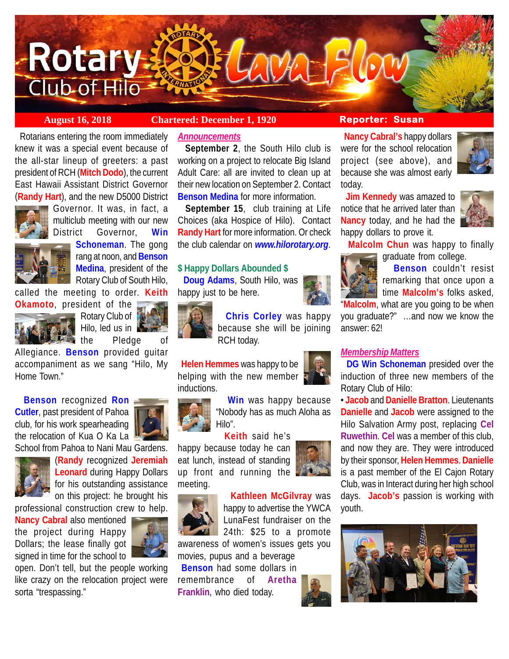

**August 16, 2018 Chartered: December 1, 1920 Reporter: Susan**

 Rotarians entering the room immediately knew it was a special event because of the all-star lineup of greeters: a past president of RCH (**Mitch Dodo**), the current East Hawaii Assistant District Governor (**Randy Hart**), and the new D5000 District



Governor. It was, in fact, a multiclub meeting with our new District Governor, **Win**



**Schoneman**. The gong rang at noon, and **Benson Medina**, president of the

Rotary Club of South Hilo, called the meeting to order. **Keith**



**Okamoto**, president of the Rotary Club of Hilo, led us in

 $\blacksquare$  the  $\blacksquare$  Pledge

Allegiance. **Benson** provided guitar accompaniment as we sang "Hilo, My Home Town."

 **Benson** recognized **Ron Cutler**, past president of Pahoa club, for his work spearheading the relocation of Kua O Ka La



School from Pahoa to Nani Mau Gardens. (**Randy** recognized **Jeremiah Leonard** during Happy Dollars for his outstanding assistance on this project: he brought his

professional construction crew to help.

**Nancy Cabral** also mentioned the project during Happy Dollars; the lease finally got signed in time for the school to



open. Don't tell, but the people working like crazy on the relocation project were sorta "trespassing."

# *Announcements*

 **September 2**, the South Hilo club is working on a project to relocate Big Island Adult Care: all are invited to clean up at their new location on September 2. Contact **Benson Medina** for more information.

 **September 15**, club training at Life Choices (aka Hospice of Hilo). Contact **Randy Hart** for more information. Or check the club calendar on *www.hilorotary.org*.

# **\$ Happy Dollars Abounded \$**

 **Doug Adams**, South Hilo, was happy just to be here.



 **Chris Corley** was happy because she will be joining RCH today.

 **Helen Hemmes** was happy to be helping with the new member inductions.



 **Win** was happy because "Nobody has as much Aloha as Hilo".

 **Keith** said he's

happy because today he can eat lunch, instead of standing up front and running the meeting.



 **Kathleen McGilvray** was happy to advertise the YWCA

LunaFest fundraiser on the 24th: \$25 to a promote awareness of women's issues gets you

movies, pupus and a beverage **Benson** had some dollars in remembrance of **Aretha Franklin**, who died today.

 **Nancy Cabral's** happy dollars were for the school relocation project (see above), and because she was almost early today.

 **Jim Kennedy** was amazed to notice that he arrived later than **Nancy** today, and he had the happy dollars to prove it.



 **Malcolm Chun** was happy to finally graduate from college.



 **Benson** couldn't resist remarking that once upon a **time Malcolm's** folks asked,

"**Malcolm**, what are you going to be when you graduate?" …and now we know the answer: 62!

# *Membership Matters*

 **DG Win Schoneman** presided over the induction of three new members of the Rotary Club of Hilo:

• **Jacob** and **Danielle Bratton**. Lieutenants **Danielle** and **Jacob** were assigned to the Hilo Salvation Army post, replacing **Cel Ruwethin**. **Cel** was a member of this club, and now they are. They were introduced by their sponsor, **Helen Hemmes**. **Danielle** is a past member of the El Cajon Rotary Club, was in Interact during her high school days. **Jacob's** passion is working with youth.





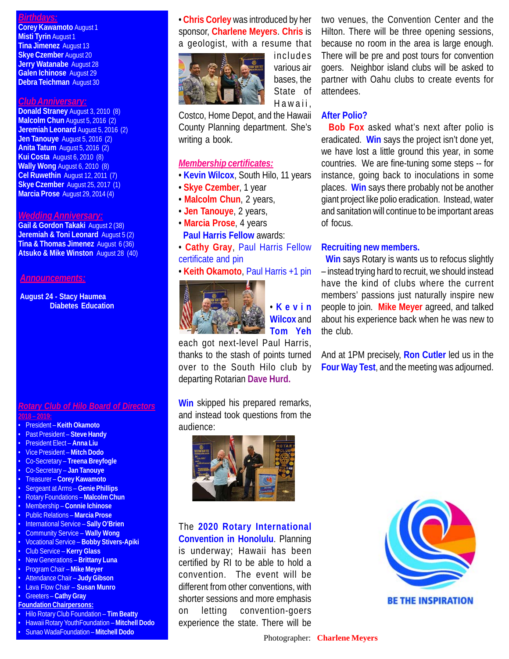# *Birthdays:*

**Corey Kawamoto** August 1 **Misti Tyrin** August 1 **Tina Jimenez** August 13 **Skye Czember** August 20 **Jerry Watanabe** August 28 **Galen Ichinose** August 29 **Debra Teichman** August 30

#### *Club Anniversary:*

**Donald Straney** August 3, 2010 (8) **Malcolm Chun** August 5, 2016 (2) **Jeremiah Leonard** August 5, 2016 (2) **Jen Tanouye** August 5, 2016 (2) **Anita Tatum** August 5, 2016 (2) **Kui Costa** August 6, 2010 (8) **Wally Wong** August 6, 2010 (8) **Cel Ruwethin** August 12, 2011 (7) **Skye Czember** August 25, 2017 (1) **Marcia Prose** August 29, 2014 (4)

#### *Wedding Anniversary:*

**Gail & Gordon Takaki** August 2 (38) **Jeremiah & Toni Leonard** August 5 (2) **Tina & Thomas Jimenez** August 6 (36) **Atsuko & Mike Winston** August 28 (40)

### *Announcements:*

**August 24 - Stacy Haumea Diabetes Education**

### *Rotary Club of Hilo Board of Directors* **2018 – 2019:**

- President **Keith Okamoto** • Past President – **Steve Handy**
- President Elect **Anna Liu**
- Vice President **Mitch Dodo**
- Co-Secretary **Treena Breyfogle**
- Co-Secretary **Jan Tanouye**
- Treasurer **Corey Kawamoto**
- Sergeant at Arms – **Genie Phillips**
- Rotary Foundations **Malcolm Chun**
- Membership **Connie Ichinose**
- Public Relations **Marcia Prose**
- International Service **Sally O'Brien**
- Community Service **Wally Wong**
- Vocational Service **Bobby Stivers-Apiki**
- Club Service **Kerry Glass**
- New Generations **Brittany Luna** • Program Chair – **Mike Meyer**
- Attendance Chair **Judy Gibson**
- Lava Flow Chair **Susan Munro**
- Greeters **Cathy Gray**
- **Foundation Chairpersons:**
- Hilo Rotary Club Foundation **Tim Beatty**
- Hawaii Rotary YouthFoundation **Mitchell Dodo**
- Sunao WadaFoundation **Mitchell Dodo**

# • **Chris Corley** was introduced by her sponsor, **Charlene Meyers**. **Chris** is a geologist, with a resume that



includes various air bases, the State of Hawaii,

Costco, Home Depot, and the Hawaii County Planning department. She's writing a book.

# *Membership certificates:*

- **Kevin Wilcox**, South Hilo, 11 years
- **Skye Czember**, 1 year
- **Malcolm Chun**, 2 years,
- **Jen Tanouye**, 2 years,
- **Marcia Prose**, 4 years **Paul Harris Fellow** awards:
- **Cathy Gray**, Paul Harris Fellow certificate and pin
- **Keith Okamoto**, Paul Harris +1 pin



• **Kevin Wilcox** and **Tom Yeh**

each got next-level Paul Harris, thanks to the stash of points turned over to the South Hilo club by departing Rotarian **Dave Hurd.**

**Win** skipped his prepared remarks, and instead took questions from the audience:



The **2020 Rotary International Convention in Honolulu**. Planning is underway; Hawaii has been certified by RI to be able to hold a convention. The event will be different from other conventions, with shorter sessions and more emphasis on letting convention-goers experience the state. There will be

two venues, the Convention Center and the Hilton. There will be three opening sessions, because no room in the area is large enough. There will be pre and post tours for convention goers. Neighbor island clubs will be asked to partner with Oahu clubs to create events for attendees.

# **After Polio?**

 **Bob Fox** asked what's next after polio is eradicated. **Win** says the project isn't done yet, we have lost a little ground this year, in some countries. We are fine-tuning some steps -- for instance, going back to inoculations in some places. **Win** says there probably not be another giant project like polio eradication. Instead, water and sanitation will continue to be important areas of focus.

# **Recruiting new members.**

 **Win** says Rotary is wants us to refocus slightly – instead trying hard to recruit, we should instead have the kind of clubs where the current members' passions just naturally inspire new people to join. **Mike Meyer** agreed, and talked about his experience back when he was new to the club.

And at 1PM precisely, **Ron Cutler** led us in the **Four Way Test**, and the meeting was adjourned.